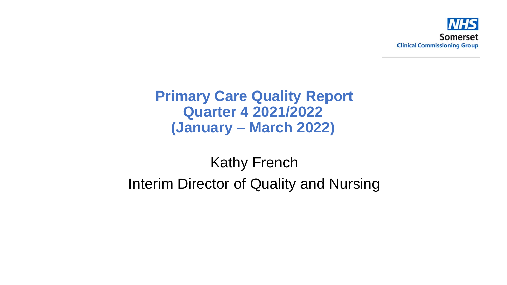

### **Primary Care Quality Report Quarter 4 2021/2022 (January – March 2022)**

# Kathy French Interim Director of Quality and Nursing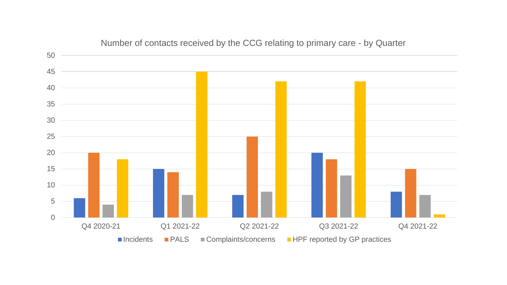

#### Number of contacts received by the CCG relating to primary care - by Quarter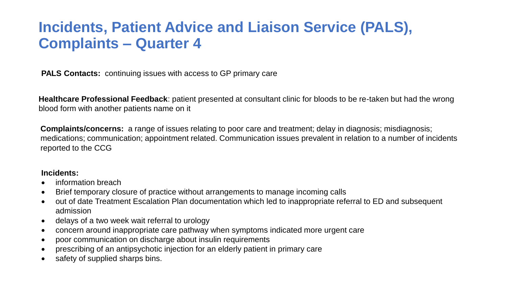## **Incidents, Patient Advice and Liaison Service (PALS), Complaints – Quarter 4**

**PALS Contacts:** continuing issues with access to GP primary care

**Healthcare Professional Feedback**: patient presented at consultant clinic for bloods to be re-taken but had the wrong blood form with another patients name on it

**Complaints/concerns:** a range of issues relating to poor care and treatment; delay in diagnosis; misdiagnosis; medications; communication; appointment related. Communication issues prevalent in relation to a number of incidents reported to the CCG

#### **Incidents:**

- information breach
- Brief temporary closure of practice without arrangements to manage incoming calls
- out of date Treatment Escalation Plan documentation which led to inappropriate referral to ED and subsequent admission
- delays of a two week wait referral to urology
- concern around inappropriate care pathway when symptoms indicated more urgent care
- poor communication on discharge about insulin requirements
- prescribing of an antipsychotic injection for an elderly patient in primary care
- safety of supplied sharps bins.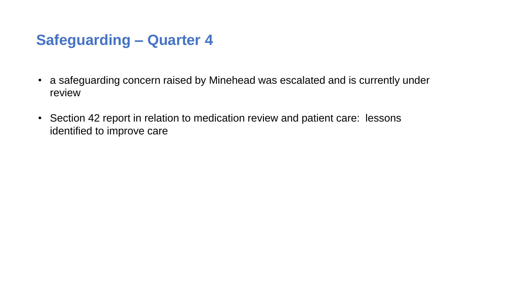# **Safeguarding – Quarter 4**

- a safeguarding concern raised by Minehead was escalated and is currently under review
- Section 42 report in relation to medication review and patient care: lessons identified to improve care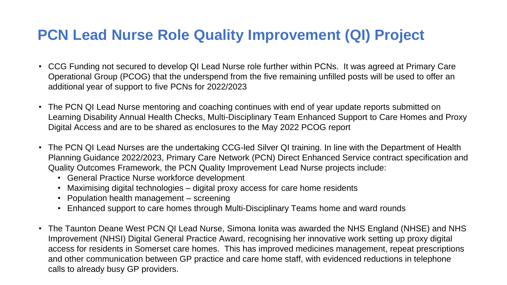# **PCN Lead Nurse Role Quality Improvement (QI) Project**

- CCG Funding not secured to develop QI Lead Nurse role further within PCNs. It was agreed at Primary Care Operational Group (PCOG) that the underspend from the five remaining unfilled posts will be used to offer an additional year of support to five PCNs for 2022/2023
- The PCN QI Lead Nurse mentoring and coaching continues with end of year update reports submitted on Learning Disability Annual Health Checks, Multi-Disciplinary Team Enhanced Support to Care Homes and Proxy Digital Access and are to be shared as enclosures to the May 2022 PCOG report
- The PCN QI Lead Nurses are the undertaking CCG-led Silver QI training. In line with the Department of Health Planning Guidance 2022/2023, Primary Care Network (PCN) Direct Enhanced Service contract specification and Quality Outcomes Framework, the PCN Quality Improvement Lead Nurse projects include:
	- General Practice Nurse workforce development
	- Maximising digital technologies digital proxy access for care home residents
	- Population health management screening
	- Enhanced support to care homes through Multi-Disciplinary Teams home and ward rounds
- The Taunton Deane West PCN QI Lead Nurse, Simona Ionita was awarded the NHS England (NHSE) and NHS Improvement (NHSI) Digital General Practice Award, recognising her innovative work setting up proxy digital access for residents in Somerset care homes. This has improved medicines management, repeat prescriptions and other communication between GP practice and care home staff, with evidenced reductions in telephone calls to already busy GP providers.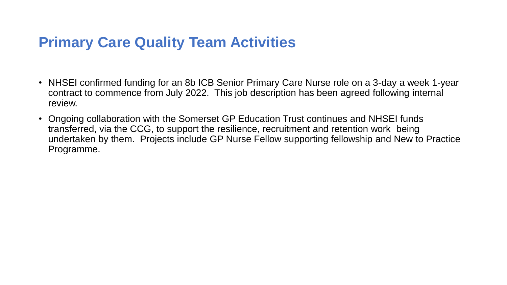# **Primary Care Quality Team Activities**

- NHSEI confirmed funding for an 8b ICB Senior Primary Care Nurse role on a 3-day a week 1-year contract to commence from July 2022. This job description has been agreed following internal review.
- Ongoing collaboration with the Somerset GP Education Trust continues and NHSEI funds transferred, via the CCG, to support the resilience, recruitment and retention work being undertaken by them. Projects include GP Nurse Fellow supporting fellowship and New to Practice Programme.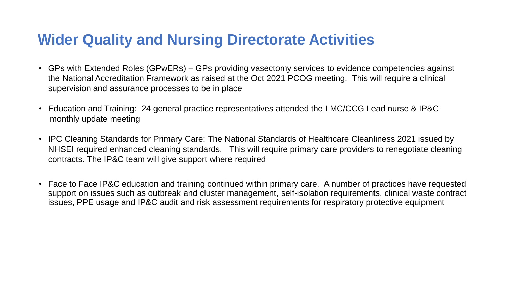## **Wider Quality and Nursing Directorate Activities**

- GPs with Extended Roles (GPwERs) GPs providing vasectomy services to evidence competencies against the National Accreditation Framework as raised at the Oct 2021 PCOG meeting. This will require a clinical supervision and assurance processes to be in place
- Education and Training: 24 general practice representatives attended the LMC/CCG Lead nurse & IP&C monthly update meeting
- IPC Cleaning Standards for Primary Care: The National Standards of Healthcare Cleanliness 2021 issued by NHSEI required enhanced cleaning standards. This will require primary care providers to renegotiate cleaning contracts. The IP&C team will give support where required
- Face to Face IP&C education and training continued within primary care. A number of practices have requested support on issues such as outbreak and cluster management, self-isolation requirements, clinical waste contract issues, PPE usage and IP&C audit and risk assessment requirements for respiratory protective equipment